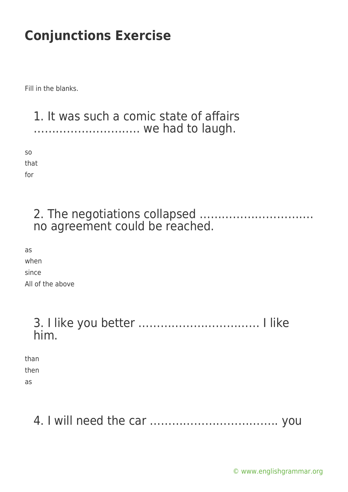Fill in the blanks.

1. It was such a comic state of affairs ……………………….. we had to laugh.

so that for

> 2. The negotiations collapsed …………………………. no agreement could be reached.

as when since All of the above

## 3. I like you better …………………………… I like him.

than then as

## 4. I will need the car …………………………….. you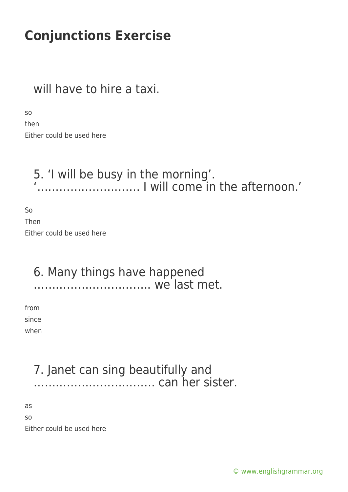## will have to hire a taxi.

so

then Either could be used here

### 5. 'I will be busy in the morning'. '………………………. I will come in the afternoon.'

So Then Either could be used here

### 6. Many things have happened ………………………….. we last met.

from since when

### 7. Janet can sing beautifully and …………………………… can her sister.

as

so

Either could be used here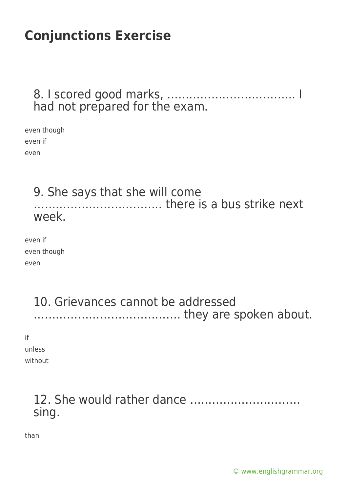#### 8. I scored good marks, …………………………….. I had not prepared for the exam.

even though even if even

#### 9. She says that she will come …………………………….. there is a bus strike next week.

even if even though even

### 10. Grievances cannot be addressed …………………………………. they are spoken about.

if

unless

without

## 12. She would rather dance ………………………… sing.

than